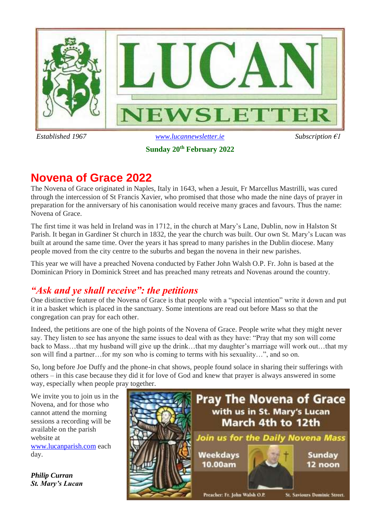

**Sunday 20th February 2022**

# **Novena of Grace 2022**

The Novena of Grace originated in Naples, Italy in 1643, when a Jesuit, Fr Marcellus Mastrilli, was cured through the intercession of St Francis Xavier, who promised that those who made the nine days of prayer in preparation for the anniversary of his canonisation would receive many graces and favours. Thus the name: Novena of Grace.

The first time it was held in Ireland was in 1712, in the church at Mary's Lane, Dublin, now in Halston St Parish. It began in Gardiner St church in 1832, the year the church was built. Our own St. Mary's Lucan was built at around the same time. Over the years it has spread to many parishes in the Dublin diocese. Many people moved from the city centre to the suburbs and began the novena in their new parishes.

This year we will have a preached Novena conducted by Father John Walsh O.P. Fr. John is based at the Dominican Priory in Dominick Street and has preached many retreats and Novenas around the country.

## *"Ask and ye shall receive": the petitions*

One distinctive feature of the Novena of Grace is that people with a "special intention" write it down and put it in a basket which is placed in the sanctuary. Some intentions are read out before Mass so that the congregation can pray for each other.

Indeed, the petitions are one of the high points of the Novena of Grace. People write what they might never say. They listen to see has anyone the same issues to deal with as they have: "Pray that my son will come back to Mass…that my husband will give up the drink…that my daughter's marriage will work out…that my son will find a partner…for my son who is coming to terms with his sexuality…", and so on.

So, long before Joe Duffy and the phone-in chat shows, people found solace in sharing their sufferings with others – in this case because they did it for love of God and knew that prayer is always answered in some way, especially when people pray together.

We invite you to join us in the Novena, and for those who cannot attend the morning sessions a recording will be available on the parish website at [www.lucanparish.com](http://www.lucanparish.com/) each day.

*Philip Curran St. Mary's Lucan*

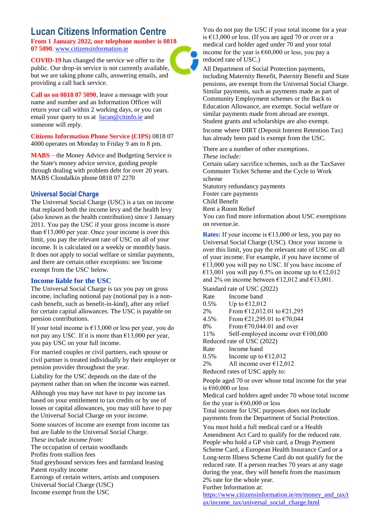## **Lucan Citizens Information Centre**

**From 1 January 2022, our telephone number is 0818 07 5090**. [www.citizensinformation.ie](http://www.citizensinformation.ie/)

**COVID-19** has changed the service we offer to the public. Our drop-in service is not currently available, but we are taking phone calls, answering emails, and providing a call back service.

**Call us on 0818 07 5090**, leave a message with your name and number and an Information Officer will return your call within 2 working days, or you can email your query to us at [lucan@citinfo.ie](mailto:lucan@citinfo.ie) and someone will reply.

**Citizens Information Phone Service (CIPS)** 0818 07 4000 operates on Monday to Friday 9 am to 8 pm.

**MABS** – the Money Advice and Budgeting Service is the State's money advice service, guiding people through dealing with problem debt for over 20 years. MABS Clondalkin phone 0818 07 2270

#### **Universal Social Charge**

The Universal Social Charge (USC) is a tax on income that replaced both the income levy and the health levy (also known as the health contribution) since 1 January 2011. You pay the USC if your gross income is more than  $\epsilon$ 13,000 per year. Once your income is over this limit, you pay the relevant rate of USC on all of your income. It is calculated on a weekly or monthly basis. It does not apply to social welfare or similar payments, and there are certain other exceptions: see 'Income exempt from the USC' below.

#### **Income liable for the USC**

The Universal Social Charge is tax you pay on gross income, including notional pay (notional pay is a noncash benefit, such as benefit-in-kind), after any relief for certain capital allowances. The USC is payable on pension contributions.

If your total income is  $\epsilon$ 13,000 or less per year, you do not pay any USC. If it is more than  $\epsilon$ 13,000 per year, you pay USC on your full income.

For married couples or civil partners, each spouse or civil partner is treated individually by their employer or pension provider throughout the year.

Liability for the USC depends on the date of the payment rather than on when the income was earned.

Although you may have not have to pay income tax based on your entitlement to tax credits or by use of losses or capital allowances, you may still have to pay the Universal Social Charge on your income.

Some sources of income are exempt from income tax but are liable to the Universal Social Charge.

*These include income from:*

The occupation of certain woodlands

Profits from stallion fees

Stud greyhound services fees and farmland leasing Patent royalty income

Earnings of certain writers, artists and composers Universal Social Charge (USC) Income exempt from the USC

You do not pay the USC if your total income for a year is €13,000 or less. (If you are aged 70 or over or a medical card holder aged under 70 and your total income for the year is  $€60,000$  or less, you pay a reduced rate of USC.)

All Department of Social Protection payments, including Maternity Benefit, Paternity Benefit and State pensions, are exempt from the Universal Social Charge. Similar payments, such as payments made as part of Community Employment schemes or the Back to Education Allowance, are exempt. Social welfare or similar payments made from abroad are exempt. Student grants and scholarships are also exempt.

Income where DIRT (Deposit Interest Retention Tax) has already been paid is exempt from the USC.

There are a number of other exemptions.

*These include:*

Certain salary sacrifice schemes, such as the TaxSaver Commuter Ticket Scheme and the Cycle to Work scheme

Statutory redundancy payments Foster care payments Child Benefit Rent a Room Relief You can find more information about USC exemptions on revenue.ie.

**Rates:** If your income is  $\epsilon$ 13,000 or less, you pay no Universal Social Charge (USC). Once your income is over this limit, you pay the relevant rate of USC on all of your income. For example, if you have income of  $€13,000$  you will pay no USC. If you have income of €13,001 you will pay 0.5% on income up to €12,012 and 2% on income between  $\epsilon$ 12,012 and  $\epsilon$ 13,001.

Standard rate of USC (2022)

| Rate                           | Income band                                                          |
|--------------------------------|----------------------------------------------------------------------|
| 0.5%                           | Up to $£12,012$                                                      |
| 2%                             | From €12,012.01 to €21,295                                           |
| 4.5%                           | From $\text{\textsterling}21,295.01$ to $\text{\textsterling}70,044$ |
| 8%                             | From $\epsilon$ 70,044.01 and over                                   |
| 11%                            | Self-employed income over $€100,000$                                 |
| Reduced rate of USC (2022)     |                                                                      |
| Rate                           | Income band                                                          |
| $0.5\%$                        | Income up to $\epsilon$ 12,012                                       |
| 2%                             | All income over $£12,012$                                            |
| Reduced rates of USC apply to: |                                                                      |
|                                |                                                                      |

People aged 70 or over whose total income for the year is €60,000 or less

Medical card holders aged under 70 whose total income for the year is  $€60,000$  or less

Total income for USC purposes does not include payments from the Department of Social Protection.

You must hold a full medical card or a Health Amendment Act Card to qualify for the reduced rate. People who hold a GP visit card, a Drugs Payment Scheme Card, a European Health Insurance Card or a Long-term Illness Scheme Card do not qualify for the reduced rate. If a person reaches 70 years at any stage during the year, they will benefit from the maximum 2% rate for the whole year.

Further Information at:

[https://www.citizensinformation.ie/en/money\\_and\\_tax/t](https://www.citizensinformation.ie/en/money_and_tax/tax/income_tax/universal_social_charge.html) [ax/income\\_tax/universal\\_social\\_charge.html](https://www.citizensinformation.ie/en/money_and_tax/tax/income_tax/universal_social_charge.html)

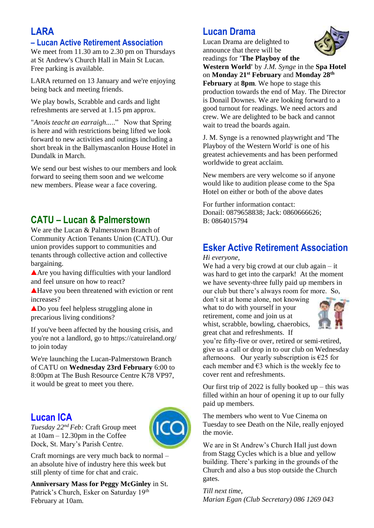# **LARA**

## **– Lucan Active Retirement Association**

We meet from 11.30 am to 2.30 pm on Thursdays at St Andrew's Church Hall in Main St Lucan. Free parking is available.

LARA returned on 13 January and we're enjoying being back and meeting friends.

We play bowls, Scrabble and cards and light refreshments are served at 1.15 pm approx.

"*Anois teacht an earraigh...*.." Now that Spring is here and with restrictions being lifted we look forward to new activities and outings including a short break in the Ballymascanlon House Hotel in Dundalk in March.

We send our best wishes to our members and look forward to seeing them soon and we welcome new members. Please wear a face covering.

## **CATU – Lucan & Palmerstown**

We are the Lucan & Palmerstown Branch of Community Action Tenants Union (CATU). Our union provides support to communities and tenants through collective action and collective bargaining.

Are you having difficulties with your landlord and feel unsure on how to react?

Have you been threatened with eviction or rent increases?

Do you feel helpless struggling alone in precarious living conditions?

If you've been affected by the housing crisis, and you're not a landlord, go to https://catuireland.org/ to join today

We're launching the Lucan-Palmerstown Branch of CATU on **Wednesday 23rd February** 6:00 to 8:00pm at The Bush Resource Centre K78 VP97, it would be great to meet you there.

## **Lucan ICA**

*Tuesday 22nd Feb:* Craft Group meet at 10am – 12.30pm in the Coffee Dock, St. Mary's Parish Centre.



Craft mornings are very much back to normal – an absolute hive of industry here this week but still plenty of time for chat and craic.

**Anniversary Mass for Peggy McGinley** in St. Patrick's Church, Esker on Saturday 19<sup>th</sup> February at 10am.

# **Lucan Drama**

Lucan Drama are delighted to announce that there will be readings for **'The Playboy of the** 



**Western World'** by *J.M. Synge* in the **Spa Hotel** on **Monday 21st February** and **Monday 28th February** at **8pm**. We hope to stage this production towards the end of May. The Director is Donail Downes. We are looking forward to a good turnout for readings. We need actors and crew. We are delighted to be back and cannot wait to tread the boards again.

J. M. Synge is a renowned playwright and 'The Playboy of the Western World' is one of his greatest achievements and has been performed worldwide to great acclaim.

New members are very welcome so if anyone would like to audition please come to the Spa Hotel on either or both of the above dates

For further information contact: Donail: 0879658838; Jack: 0860666626; B: 0864015794

# **Esker Active Retirement Association**

#### *Hi everyone,*

We had a very big crowd at our club again – it was hard to get into the carpark! At the moment we have seventy-three fully paid up members in our club but there's always room for more. So,

don't sit at home alone, not knowing what to do with yourself in your retirement, come and join us at whist, scrabble, bowling, chaerobics, great chat and refreshments. If



you're fifty-five or over, retired or semi-retired, give us a call or drop in to our club on Wednesday afternoons. Our yearly subscription is  $\epsilon$ 25 for each member and  $\epsilon$ 3 which is the weekly fee to cover rent and refreshments.

Our first trip of 2022 is fully booked up – this was filled within an hour of opening it up to our fully paid up members.

The members who went to Vue Cinema on Tuesday to see Death on the Nile, really enjoyed the movie.

We are in St Andrew's Church Hall just down from Stagg Cycles which is a blue and yellow building. There's parking in the grounds of the Church and also a bus stop outside the Church gates.

*Till next time, Marian Egan (Club Secretary) 086 1269 043*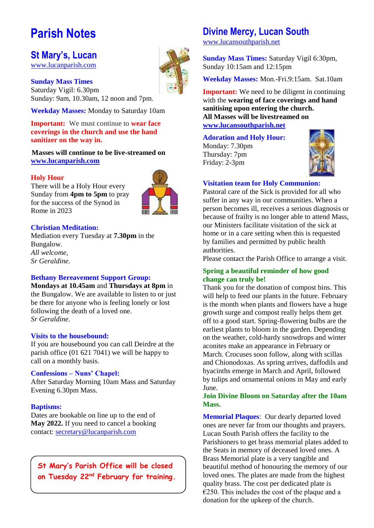# **Parish Notes**

## **St Mary's, Lucan**

[www.lucanparish.com](http://www.lucanparish.com/)

**Sunday Mass Times**  Saturday Vigil: 6.30pm Sunday: 9am, 10.30am, 12 noon and 7pm.

**Weekday Masses:** Monday to Saturday 10am

**Important:** We must continue to **wear face coverings in the church and use the hand sanitizer on the way in.**

**Masses will continue to be live-streamed on [www.lucanparish.com](http://www.lucanparish.com/)**

#### **Holy Hour**

There will be a Holy Hour every Sunday from **4pm to 5pm** to pray for the success of the Synod in Rome in 2023



#### **Christian Meditation:**

Mediation every Tuesday at **7.30pm** in the Bungalow. *All welcome, Sr Geraldine.*

#### **Bethany Bereavement Support Group:**

**Mondays at 10.45am** and **Thursdays at 8pm** in the Bungalow. We are available to listen to or just be there for anyone who is feeling lonely or lost following the death of a loved one. *Sr Geraldine.* 

#### **Visits to the housebound:**

If you are housebound you can call Deirdre at the parish office (01 621 7041) we will be happy to call on a monthly basis.

#### **Confessions – Nuns' Chapel:**

After Saturday Morning 10am Mass and Saturday Evening 6.30pm Mass.

#### **Baptisms:**

Dates are bookable on line up to the end of **May 2022.** If you need to cancel a booking contact: [secretary@lucanparish.com](mailto:secretary@lucanparish.com?subject=Cancellation%20of%20Baptism%20Booking&body=Dear%20Secretary%2C%0AI%20wish%20to%20cancel%20the%20booking%20made%20for%20baby%3A%0Aon%20date%3A%0AThank%20You)

**St Mary's Parish Office will be closed on Tuesday 22nd February for training.**

# **Divine Mercy, Lucan South**

[www.lucansouthparish.net](http://www.lucansouthparish.net/)

**Sunday Mass Times:** Saturday Vigil 6:30pm, Sunday 10:15am and 12:15pm

**Weekday Masses:** Mon.-Fri.9:15am. Sat.10am

**Important:** We need to be diligent in continuing with the **wearing of face coverings and hand sanitising upon entering the church. All Masses will be livestreamed on [www.lucansouthparish.net](http://www.lucansouthparish.net/)**

#### **Adoration and Holy Hour:**

Monday: 7.30pm Thursday: 7pm Friday: 2-3pm



#### **Visitation team for Holy Communion:**

Pastoral care of the Sick is provided for all who suffer in any way in our communities. When a person becomes ill, receives a serious diagnosis or because of frailty is no longer able to attend Mass, our Ministers facilitate visitation of the sick at home or in a care setting when this is requested by families and permitted by public health authorities.

Please contact the Parish Office to arrange a visit.

#### **Spring a beautiful reminder of how good change can truly be!**

Thank you for the donation of compost bins. This will help to feed our plants in the future. February is the month when plants and flowers have a huge growth surge and compost really helps them get off to a good start. Spring-flowering bulbs are the earliest plants to bloom in the garden. Depending on the weather, cold-hardy snowdrops and winter aconites make an appearance in February or March. Crocuses soon follow, along with scillas and Chionodoxas. As spring arrives, daffodils and hyacinths emerge in March and April, followed by tulips and ornamental onions in May and early June.

#### **Join Divine Bloom on Saturday after the 10am Mass.**

**Memorial Plaques**: Our dearly departed loved ones are never far from our thoughts and prayers. Lucan South Parish offers the facility to the Parishioners to get brass memorial plates added to the Seats in memory of deceased loved ones. A Brass Memorial plate is a very tangible and beautiful method of honouring the memory of our loved ones. The plates are made from the highest quality brass. The cost per dedicated plate is  $€250$ . This includes the cost of the plaque and a donation for the upkeep of the church.

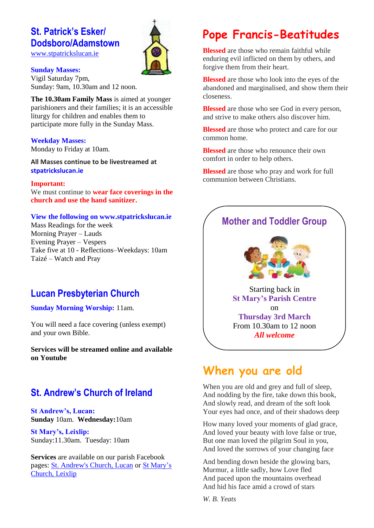# **St. Patrick's Esker/ Dodsboro/Adamstown**

[www.stpatrickslucan.ie](http://www.stpatrickslucan.ie/)



#### **Sunday Masses:**

Vigil Saturday 7pm, Sunday: 9am, 10.30am and 12 noon.

**The 10.30am Family Mass** is aimed at younger parishioners and their families; it is an accessible liturgy for children and enables them to participate more fully in the Sunday Mass.

#### **Weekday Masses:**

Monday to Friday at 10am.

**All Masses continue to be livestreamed at stpatrickslucan.ie**

#### **Important:**

We must continue to **wear face coverings in the church and use the hand sanitizer.** 

#### **View the following on www.stpatrickslucan.ie**

Mass Readings for the week Morning Prayer – Lauds Evening Prayer – Vespers Take five at 10 - Reflections–Weekdays: 10am Taizé – Watch and Pray

# **Lucan Presbyterian Church**

**Sunday Morning Worship:** 11am.

You will need a face covering (unless exempt) and your own Bible.

**Services will be streamed online and available on Youtube**

# **St. Andrew's Church of Ireland**

**St Andrew's, Lucan: Sunday** 10am. **Wednesday:**10am

**St Mary's, Leixlip:**  Sunday:11.30am. Tuesday: 10am

**Services** are available on our parish Facebook pages: [St. Andrew's Church, Lucan](https://www.facebook.com/standrewslucan/) or [St Mary's](https://www.facebook.com/stmarysleixlip/)  [Church, Leixlip](https://www.facebook.com/stmarysleixlip/)

# **Pope Francis-Beatitudes**

**Blessed** are those who remain faithful while enduring evil inflicted on them by others, and forgive them from their heart.

**Blessed** are those who look into the eyes of the abandoned and marginalised, and show them their closeness.

**Blessed** are those who see God in every person. and strive to make others also discover him.

**Blessed** are those who protect and care for our common home.

**Blessed** are those who renounce their own comfort in order to help others.

**Blessed** are those who pray and work for full communion between Christians.

## **Mother and Toddler Group**



Starting back in **St Mary's Parish Centre** on **Thursday 3rd March** From 10.30am to 12 noon *All welcome*

# **When you are old**

When you are old and grey and full of sleep, And nodding by the fire, take down this book, And slowly read, and dream of the soft look Your eyes had once, and of their shadows deep

How many loved your moments of glad grace, And loved your beauty with love false or true, But one man loved the pilgrim Soul in you, And loved the sorrows of your changing face

And bending down beside the glowing bars, Murmur, a little sadly, how Love fled And paced upon the mountains overhead And hid his face amid a crowd of stars

*W. B. Yeats*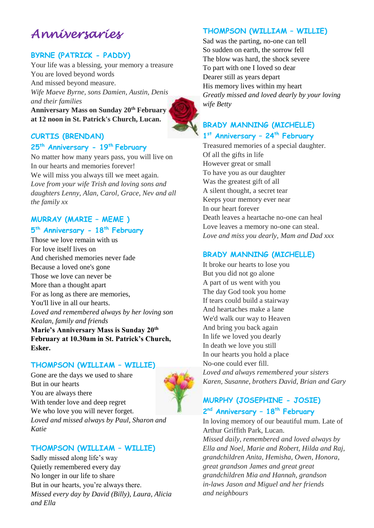# *Anniversaries*

## **BYRNE (PATRICK - PADDY)**

Your life was a blessing, your memory a treasure You are loved beyond words And missed beyond measure. *Wife Maeve Byrne, sons Damien, Austin, Denis and their families* **Anniversary Mass on Sunday 20th February at 12 noon in St. Patrick's Church, Lucan.**



# **CURTIS (BRENDAN)**

# **25th Anniversary - 19th February**

No matter how many years pass, you will live on In our hearts and memories forever! We will miss you always till we meet again. *Love from your wife Trish and loving sons and daughters Lenny, Alan, Carol, Grace, Nev and all the family xx*

## **MURRAY (MARIE – MEME )**

#### **5 th Anniversary - 18th February**

Those we love remain with us For love itself lives on And cherished memories never fade Because a loved one's gone Those we love can never be More than a thought apart For as long as there are memories, You'll live in all our hearts. *Loved and remembered always by her loving son Kealan, family and friends* **Marie's Anniversary Mass is Sunday 20th February at 10.30am in St. Patrick's Church, Esker.**

#### **THOMPSON (WILLIAM – WILLIE)**

Gone are the days we used to share But in our hearts You are always there With tender love and deep regret We who love you will never forget. *Loved and missed always by Paul, Sharon and Katie*

### **THOMPSON (WILLIAM – WILLIE)**

Sadly missed along life's way Quietly remembered every day No longer in our life to share But in our hearts, you're always there. *Missed every day by David (Billy), Laura, Alicia and Ella*

## **THOMPSON (WILLIAM – WILLIE)**

Sad was the parting, no-one can tell So sudden on earth, the sorrow fell The blow was hard, the shock severe To part with one I loved so dear Dearer still as years depart His memory lives within my heart *Greatly missed and loved dearly by your loving wife Betty*

## **BRADY MANNING (MICHELLE) 1 st Anniversary – 24th February**

Treasured memories of a special daughter. Of all the gifts in life However great or small To have you as our daughter Was the greatest gift of all A silent thought, a secret tear Keeps your memory ever near In our heart forever Death leaves a heartache no-one can heal Love leaves a memory no-one can steal. *Love and miss you dearly, Mam and Dad xxx*

### **BRADY MANNING (MICHELLE)**

It broke our hearts to lose you But you did not go alone A part of us went with you The day God took you home If tears could build a stairway And heartaches make a lane We'd walk our way to Heaven And bring you back again In life we loved you dearly In death we love you still In our hearts you hold a place No-one could ever fill. *Loved and always remembered your sisters Karen, Susanne, brothers David, Brian and Gary*

## **MURPHY (JOSEPHINE - JOSIE) 2 nd Anniversary – 18th February**

In loving memory of our beautiful mum. Late of Arthur Griffith Park, Lucan. *Missed daily, remembered and loved always by Ella and Noel, Marie and Robert, Hilda and Raj, grandchildren Anita, Hemisha, Owen, Honora, great grandson James and great great grandchildren Mia and Hannah, grandson in-laws Jason and Miguel and her friends and neighbours*

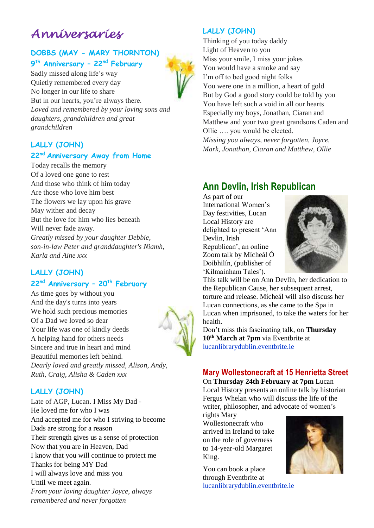# *Anniversaries*

## **DOBBS (MAY - MARY THORNTON) 9 th Anniversary – 22nd February**

Sadly missed along life's way Quietly remembered every day No longer in our life to share But in our hearts, you're always there. *Loved and remembered by your loving sons and daughters, grandchildren and great grandchildren*

## **LALLY (JOHN)**

#### **22nd Anniversary Away from Home**

Today recalls the memory Of a loved one gone to rest And those who think of him today Are those who love him best The flowers we lay upon his grave May wither and decay But the love for him who lies beneath Will never fade away. *Greatly missed by your daughter Debbie, son-in-law Peter and granddaughter's Niamh, Karla and Aine xxx*

### **LALLY (JOHN) 22nd Anniversary – 20th February**

As time goes by without you And the day's turns into years We hold such precious memories Of a Dad we loved so dear Your life was one of kindly deeds A helping hand for others needs Sincere and true in heart and mind Beautiful memories left behind. *Dearly loved and greatly missed, Alison, Andy, Ruth, Craig, Alisha & Caden xxx*

### **LALLY (JOHN)**

Late of AGP, Lucan. I Miss My Dad - He loved me for who I was And accepted me for who I striving to become Dads are strong for a reason Their strength gives us a sense of protection Now that you are in Heaven, Dad I know that you will continue to protect me Thanks for being MY Dad I will always love and miss you Until we meet again. *From your loving daughter Joyce, always remembered and never forgotten*

## **LALLY (JOHN)**

Thinking of you today daddy Light of Heaven to you Miss your smile, I miss your jokes You would have a smoke and say I'm off to bed good night folks You were one in a million, a heart of gold But by God a good story could be told by you You have left such a void in all our hearts Especially my boys, Jonathan, Ciaran and Matthew and your two great grandsons Caden and Ollie …. you would be elected.

*Missing you always, never forgotten, Joyce, Mark, Jonathan, Ciaran and Matthew, Ollie*

# **Ann Devlin, Irish Republican**

As part of our International Women's Day festivities, Lucan Local History are delighted to present 'Ann Devlin, Irish Republican', an online Zoom talk by Mícheál Ó Doibhilín, (publisher of 'Kilmainham Tales').



This talk will be on Ann Devlin, her dedication to the Republican Cause, her subsequent arrest, torture and release. Mícheál will also discuss her Lucan connections, as she came to the Spa in Lucan when imprisoned, to take the waters for her health.

Don't miss this fascinating talk, on **Thursday 10th March at 7pm** via Eventbrite at lucanlibrarydublin.eventbrite.ie

## **Mary Wollestonecraft at 15 Henrietta Street**

On **Thursday 24th February at 7pm** Lucan Local History presents an online talk by historian Fergus Whelan who will discuss the life of the writer, philosopher, and advocate of women's

rights Mary Wollestonecraft who arrived in Ireland to take on the role of governess to 14-year-old Margaret King.

You can book a place through Eventbrite at lucanlibrarydublin.eventbrite.ie

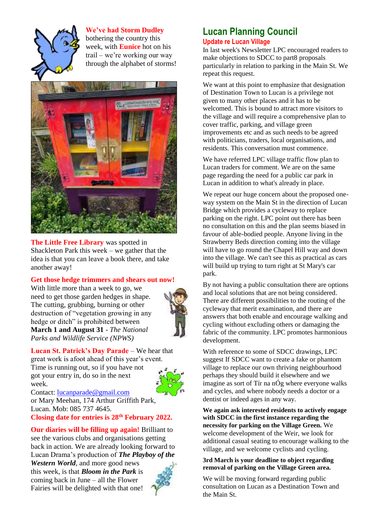

**We've had Storm Dudley** bothering the country this week, with **Eunice** hot on his trail – we're working our way through the alphabet of storms!



**The Little Free Library** was spotted in Shackleton Park this week – we gather that the idea is that you can leave a book there, and take another away!

#### **Get those hedge trimmers and shears out now!**

With little more than a week to go, we need to get those garden hedges in shape. The cutting, grubbing, burning or other destruction of "vegetation growing in any hedge or ditch" is prohibited between **March 1 and August 31** - *The National Parks and Wildlife Service (NPWS)*



**Lucan St. Patrick's Day Parade** – We hear that great work is afoot ahead of this year's event. Time is running out, so if you have not got your entry in, do so in the next week.



Contact: [lucanparade@gmail.com](mailto:lucanparade@gmail.com) or Mary Meehan, 174 Arthur Griffith Park, Lucan. Mob: 085 737 4645.

**Closing date for entries is 28th February 2022.** 

**Our diaries will be filling up again!** Brilliant to see the various clubs and organisations getting back in action. We are already looking forward to Lucan Drama's production of *The Playboy of the* 

*Western World*, and more good news this week, is that *Bloom in the Park* is coming back in June – all the Flower Fairies will be delighted with that one!



## **Lucan Planning Council Update re Lucan Village**

In last week's Newsletter LPC encouraged readers to make objections to SDCC to part8 proposals particularly in relation to parking in the Main St. We repeat this request.

We want at this point to emphasize that designation of Destination Town to Lucan is a privilege not given to many other places and it has to be welcomed. This is bound to attract more visitors to the village and will require a comprehensive plan to cover traffic, parking, and village green improvements etc and as such needs to be agreed with politicians, traders, local organisations, and residents. This conversation must commence.

We have referred LPC village traffic flow plan to Lucan traders for comment. We are on the same page regarding the need for a public car park in Lucan in addition to what's already in place.

We repeat our huge concern about the proposed oneway system on the Main St in the direction of Lucan Bridge which provides a cycleway to replace parking on the right. LPC point out there has been no consultation on this and the plan seems biased in favour of able-bodied people. Anyone living in the Strawberry Beds direction coming into the village will have to go round the Chapel Hill way and down into the village. We can't see this as practical as cars will build up trying to turn right at St Mary's car park.

By not having a public consultation there are options and local solutions that are not being considered. There are different possibilities to the routing of the cycleway that merit examination, and there are answers that both enable and encourage walking and cycling without excluding others or damaging the fabric of the community. LPC promotes harmonious development.

With reference to some of SDCC drawings, LPC suggest If SDCC want to create a fake or phantom village to replace our own thriving neighbourhood perhaps they should build it elsewhere and we imagine as sort of Tír na nÓg where everyone walks and cycles, and where nobody needs a doctor or a dentist or indeed ages in any way.

**We again ask interested residents to actively engage with SDCC in the first instance regarding the necessity for parking on the Village Green.** We welcome development of the Weir, we look for additional casual seating to encourage walking to the village, and we welcome cyclists and cycling.

#### **3rd March is your deadline to object regarding removal of parking on the Village Green area.**

We will be moving forward regarding public consultation on Lucan as a Destination Town and the Main St.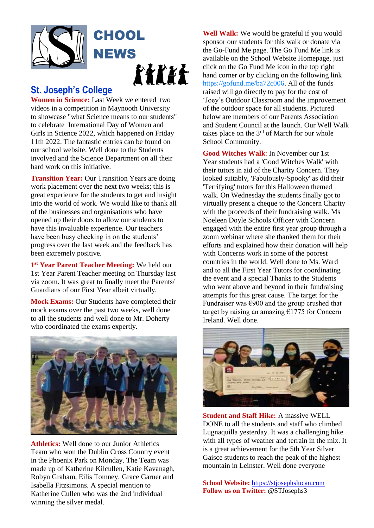

## **St. Joseph's College**

**Women in Science:** Last Week we entered two videos in a competition in Maynooth University to showcase "what Science means to our students" to celebrate International Day of Women and Girls in Science 2022, which happened on Friday 11th 2022. The fantastic entries can be found on our school website. Well done to the Students involved and the Science Department on all their hard work on this initiative.

**Transition Year:** Our Transition Years are doing work placement over the next two weeks; this is great experience for the students to get and insight into the world of work. We would like to thank all of the businesses and organisations who have opened up their doors to allow our students to have this invaluable experience. Our teachers have been busy checking in on the students' progress over the last week and the feedback has been extremely positive.

1<sup>st</sup> Year Parent Teacher Meeting: We held our 1st Year Parent Teacher meeting on Thursday last via zoom. It was great to finally meet the Parents/ Guardians of our First Year albeit virtually.

**Mock Exams:** Our Students have completed their mock exams over the past two weeks, well done to all the students and well done to Mr. Doherty who coordinated the exams expertly.



**Athletics:** Well done to our Junior Athletics Team who won the Dublin Cross Country event in the Phoenix Park on Monday. The Team was made up of Katherine Kilcullen, Katie Kavanagh, Robyn Graham, Eilis Tomney, Grace Garner and Isabella Fitzsimons. A special mention to Katherine Cullen who was the 2nd individual winning the silver medal.

**Well Walk:** We would be grateful if you would sponsor our students for this walk or donate via the Go-Fund Me page. The Go Fund Me link is available on the School Website Homepage, just click on the Go Fund Me icon in the top right hand corner or by clicking on the following link [https://gofund.me/ba72c006.](https://gofund.me/ba72c006) All of the funds raised will go directly to pay for the cost of 'Joey's Outdoor Classroom and the improvement of the outdoor space for all students. Pictured below are members of our Parents Association and Student Council at the launch. Our Well Walk takes place on the  $3<sup>rd</sup>$  of March for our whole School Community.

**Good Witches Walk**: In November our 1st Year students had a 'Good Witches Walk' with their tutors in aid of the Charity Concern. They looked suitably, 'Fabulously-Spooky' as did their 'Terrifying' tutors for this Halloween themed walk. On Wednesday the students finally got to virtually present a cheque to the Concern Charity with the proceeds of their fundraising walk. Ms Noeleen Doyle Schools Officer with Concern engaged with the entire first year group through a zoom webinar where she thanked them for their efforts and explained how their donation will help with Concerns work in some of the poorest countries in the world. Well done to Ms. Ward and to all the First Year Tutors for coordinating the event and a special Thanks to the Students who went above and beyond in their fundraising attempts for this great cause. The target for the Fundraiser was  $\epsilon$ 900 and the group crushed that target by raising an amazing  $E1775$  for Concern Ireland. Well done.



**Student and Staff Hike:** A massive WELL DONE to all the students and staff who climbed Lugnaquilla yesterday. It was a challenging hike with all types of weather and terrain in the mix. It is a great achievement for the 5th Year Silver Gaisce students to reach the peak of the highest mountain in Leinster. Well done everyone

**School Website:** [https://stjosephslucan.com](https://stjosephslucan.com/) **Follow us on Twitter:** @STJosephs3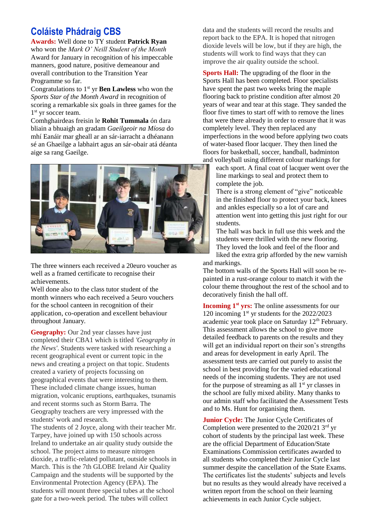# **Coláiste Phádraig CBS**

**Awards:** Well done to TY student **Patrick Ryan** who won the *Mark O' Neill Student of the Month*  Award for January in recognition of his impeccable manners, good nature, positive demeanour and overall contribution to the Transition Year Programme so far.

Congratulations to 1<sup>st</sup> yr **Ben Lawless** who won the *Sports Star of the Month Award* in recognition of scoring a remarkable six goals in three games for the 1<sup>st</sup> yr soccer team.

Comhghairdeas freisin le **Rohit Tummala** ón dara bliain a bhuaigh an gradam *Gaeilgeoir na Míosa* do mhí Eanáir mar gheall ar an sár-iarracht a dhéanann sé an Ghaeilge a labhairt agus an sár-obair atá déanta aige sa rang Gaeilge.



The three winners each received a 20euro voucher as well as a framed certificate to recognise their achievements.

Well done also to the class tutor student of the month winners who each received a 5euro vouchers for the school canteen in recognition of their application, co-operation and excellent behaviour throughout January.

**Geography:** Our 2nd year classes have just completed their CBA1 which is titled *'Geography in the News'*. Students were tasked with researching a recent geographical event or current topic in the news and creating a project on that topic. Students created a variety of projects focussing on geographical events that were interesting to them. These included climate change issues, human migration, volcanic eruptions, earthquakes, tsunamis and recent storms such as Storm Barra. The Geography teachers are very impressed with the students' work and research.

The students of 2 Joyce, along with their teacher Mr. Tarpey, have joined up with 150 schools across Ireland to undertake an air quality study outside the school. The project aims to measure nitrogen dioxide, a traffic-related pollutant, outside schools in March. This is the 7th GLOBE Ireland Air Quality Campaign and the students will be supported by the Environmental Protection Agency (EPA). The students will mount three special tubes at the school gate for a two-week period. The tubes will collect

data and the students will record the results and report back to the EPA. It is hoped that nitrogen dioxide levels will be low, but if they are high, the students will work to find ways that they can improve the air quality outside the school.

**Sports Hall:** The upgrading of the floor in the Sports Hall has been completed. Floor specialists have spent the past two weeks bring the maple flooring back to pristine condition after almost 20 years of wear and tear at this stage. They sanded the floor five times to start off with to remove the lines that were there already in order to ensure that it was completely level. They then replaced any imperfections in the wood before applying two coats of water-based floor lacquer. They then lined the floors for basketball, soccer, handball, badminton and volleyball using different colour markings for

each sport. A final coat of lacquer went over the line markings to seal and protect them to complete the job.

There is a strong element of "give" noticeable in the finished floor to protect your back, knees and ankles especially so a lot of care and attention went into getting this just right for our students.

The hall was back in full use this week and the students were thrilled with the new flooring. They loved the look and feel of the floor and liked the extra grip afforded by the new varnish and markings.

The bottom walls of the Sports Hall will soon be repainted in a rust-orange colour to match it with the colour theme throughout the rest of the school and to decoratively finish the hall off.

**Incoming 1st yrs:** The online assessments for our 120 incoming  $1<sup>st</sup>$  yr students for the 2022/2023 academic year took place on Saturday  $12<sup>th</sup>$  February. This assessment allows the school to give more detailed feedback to parents on the results and they will get an individual report on their son's strengths and areas for development in early April. The assessment tests are carried out purely to assist the school in best providing for the varied educational needs of the incoming students. They are not used for the purpose of streaming as all  $1<sup>st</sup>$  yr classes in the school are fully mixed ability. Many thanks to our admin staff who facilitated the Assessment Tests and to Ms. Hunt for organising them.

**Junior Cycle:** The Junior Cycle Certificates of Completion were presented to the 2020/21 3rd yr cohort of students by the principal last week. These are the official Department of Education/State Examinations Commission certificates awarded to all students who completed their Junior Cycle last summer despite the cancellation of the State Exams. The certificates list the students' subjects and levels but no results as they would already have received a written report from the school on their learning achievements in each Junior Cycle subject.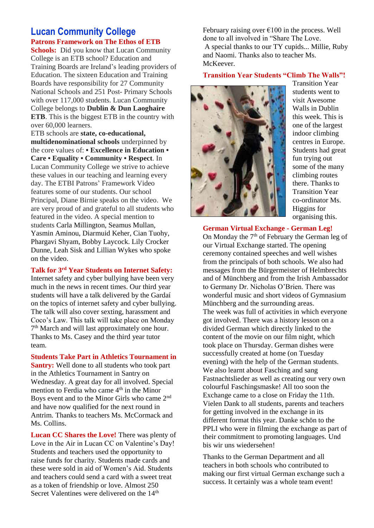## **Lucan Community College Patrons Framework on The Ethos of ETB**

**Schools:** Did you know that Lucan Community College is an ETB school? Education and Training Boards are Ireland's leading providers of Education. The sixteen Education and Training Boards have responsibility for 27 Community National Schools and 251 Post‐ Primary Schools with over 117,000 students. Lucan Community College belongs to **Dublin & Dun Laoghaire ETB**. This is the biggest ETB in the country with over 60,000 learners.

ETB schools are **state, co-educational, multidenominational schools** underpinned by the core values of: **• Excellence in Education • Care • Equality • Community • Respect**. In Lucan Community College we strive to achieve these values in our teaching and learning every day. The ETBI Patrons' Framework Video features some of our students. Our school Principal, Diane Birnie speaks on the video. We are very proud of and grateful to all students who featured in the video. A special mention to students Carla Millington, Seamus Mullan, Yasmin Aminou, Diarmuid Keher, Cian Tuohy, Phargavi Shyam, Bobby Laycock. Lily Crocker Dunne, Leah Sisk and Lillian Wykes who spoke on the video.

**Talk for 3rd Year Students on Internet Safety:** 

Internet safety and cyber bullying have been very much in the news in recent times. Our third year students will have a talk delivered by the Gardaí on the topics of internet safety and cyber bullying. The talk will also cover sexting, harassment and Coco's Law. This talk will take place on Monday 7<sup>th</sup> March and will last approximately one hour. Thanks to Ms. Casey and the third year tutor team.

**Students Take Part in Athletics Tournament in Santry:** Well done to all students who took part in the Athletics Tournament in Santry on Wednesday. A great day for all involved. Special mention to Ferdia who came 4<sup>th</sup> in the Minor Boys event and to the Minor Girls who came 2nd and have now qualified for the next round in Antrim. Thanks to teachers Ms. McCormack and Ms. Collins.

**Lucan CC Shares the Love!** There was plenty of Love in the Air in Lucan CC on Valentine's Day! Students and teachers used the opportunity to raise funds for charity. Students made cards and these were sold in aid of Women's Aid. Students and teachers could send a card with a sweet treat as a token of friendship or love. Almost 250 Secret Valentines were delivered on the 14<sup>th</sup>

February raising over  $\epsilon$ 100 in the process. Well done to all involved in "Share The Love. A special thanks to our TY cupids... Millie, Ruby and Naomi. Thanks also to teacher Ms. McKeever.

#### **Transition Year Students "Climb The Walls"!**



Transition Year students went to visit Awesome Walls in Dublin this week. This is one of the largest indoor climbing centres in Europe. Students had great fun trying out some of the many climbing routes there. Thanks to Transition Year co-ordinator Ms. Higgins for organising this.

**German Virtual Exchange - German Leg!**

On Monday the 7<sup>th</sup> of February the German leg of our Virtual Exchange started. The opening ceremony contained speeches and well wishes from the principals of both schools. We also had messages from the Bürgermeister of Helmbrechts and of Münchberg and from the Irish Ambassador to Germany Dr. Nicholas O'Brien. There was wonderful music and short videos of Gymnasium Münchberg and the surrounding areas. The week was full of activities in which everyone got involved. There was a history lesson on a divided German which directly linked to the content of the movie on our film night, which took place on Thursday. German dishes were successfully created at home (on Tuesday evening) with the help of the German students. We also learnt about Fasching and sang Fastnachtslieder as well as creating our very own colourful Faschingsmaske! All too soon the Exchange came to a close on Friday the 11th. Vielen Dank to all students, parents and teachers for getting involved in the exchange in its different format this year. Danke schön to the PPLI who were in filming the exchange as part of their commitment to promoting languages. Und bis wir uns wiedersehen!

Thanks to the German Department and all teachers in both schools who contributed to making our first virtual German exchange such a success. It certainly was a whole team event!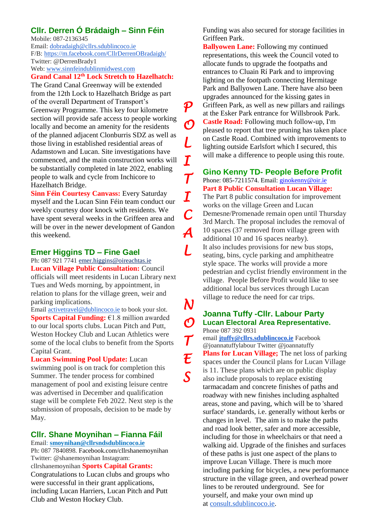## **Cllr. Derren Ó Brádaigh – Sinn Féin**

Mobile: 087-2136345 Email: [dobradaigh@cllrs.sdublincoco.ie](mailto:dobradaigh@cllrs.sdublincoco.ie) F/B: <https://m.facebook.com/CllrDerrenOBradaigh/> Twitter: @DerrenBrady1 Web: [www.sinnfeindublinmidwest.com](http://www.sinnfeindublinmidwest.com/)

#### **Grand Canal 12th Lock Stretch to Hazelhatch:**

The Grand Canal Greenway will be extended from the 12th Lock to Hazelhatch Bridge as part of the overall Department of Transport's Greenway Programme. This key four kilometre section will provide safe access to people working locally and become an amenity for the residents of the planned adjacent Clonburris SDZ as well as those living in established residential areas of Adamstown and Lucan. Site investigations have commenced, and the main construction works will be substantially completed in late 2022, enabling people to walk and cycle from Inchicore to Hazelhatch Bridge.

**Sinn Féin Courtesy Canvass:** Every Saturday myself and the Lucan Sinn Féin team conduct our weekly courtesy door knock with residents. We have spent several weeks in the Griffeen area and will be over in the newer development of Gandon this weekend.

### **Emer Higgins TD – Fine Gael**

Ph: 087 921 774[1 emer.higgins@oireachtas.ie](mailto:emer.higgins@oireachtas.ie) **Lucan Village Public Consultation:** Council officials will meet residents in Lucan Library next Tues and Weds morning, by appointment, in relation to plans for the village green, weir and parking implications.

Email [activetravel@dublincoco.ie](mailto:activetravel@dublincoco.ie) to book your slot. **Sports Capital Funding:** €1.8 million awarded to our local sports clubs. Lucan Pitch and Putt, Weston Hockey Club and Lucan Athletics were some of the local clubs to benefit from the Sports Capital Grant.

**Lucan Swimming Pool Update:** Lucan swimming pool is on track for completion this Summer. The tender process for combined management of pool and existing leisure centre was advertised in December and qualification stage will be complete Feb 2022. Next step is the submission of proposals, decision to be made by May.

## **Cllr. Shane Moynihan – Fianna Fáil**

Email: **smoynihan@cllrsndsdublincoco.ie** Ph: 087 7840898. Facebook.com/cllrshanemoynihan Twitter: @shanemoynihan Instagram: cllrshanemoynihan **Sports Capital Grants:**  Congratulations to Lucan clubs and groups who were successful in their grant applications, including Lucan Harriers, Lucan Pitch and Putt Club and Weston Hockey Club.

Funding was also secured for storage facilities in Griffeen Park.

**Ballyowen Lane:** Following my continued representations, this week the Council voted to allocate funds to upgrade the footpaths and entrances to Cluain Rí Park and to improving lighting on the footpath connecting Hermitage Park and Ballyowen Lane. There have also been upgrades announced for the kissing gates in Griffeen Park, as well as new pillars and railings at the Esker Park entrance for Willsbrook Park. **Castle Road:** Following much follow-up, I'm pleased to report that tree pruning has taken place on Castle Road. Combined with improvements to lighting outside Earlsfort which I secured, this will make a difference to people using this route.

*P* 

*O* 

*L* 

*I* 

*T* 

*I* 

*C* 

*A* 

*L* 

*N* 

*O* 

*T* 

*E* 

*S* 

**Gino Kenny TD- People Before Profit**  Phone: 085-7211574. Email: *ginokenny@oir.ie* **Part 8 Public Consultation Lucan Village:**

The Part 8 public consultation for improvement works on the village Green and Lucan Demesne/Promenade remain open until Thursday 3rd March. The proposal includes the removal of 10 spaces (37 removed from village green with additional 10 and 16 spaces nearby). It also includes provisions for new bus stops, seating, bins, cycle parking and amphitheatre style space. The works will provide a more pedestrian and cyclist friendly environment in the village. People Before Profit would like to see additional local bus services through Lucan village to reduce the need for car trips.

#### **Joanna Tuffy -Cllr. Labour Party Lucan Electoral Area Representative.**  Phone 087 392 0931

email **[jtuffy@cllrs.sdublincoco.ie](mailto:jtuffy@cllrs.sdublincoco.ie)** Facebook @joannatuffylabour Twitter @joannatuffy **Plans for Lucan Village;** The net loss of parking spaces under the Council plans for Lucan Village is 11. These plans which are on public display also include proposals to replace existing tarmacadam and concrete finishes of paths and roadway with new finishes including asphalted areas, stone and paving, which will be to 'shared surface' standards, i.e. generally without kerbs or changes in level. The aim is to make the paths and road look better, safer and more accessible, including for those in wheelchairs or that need a walking aid. Upgrade of the finishes and surfaces of these paths is just one aspect of the plans to improve Lucan Village. There is much more including parking for bicycles, a new performance structure in the village green, and overhead power lines to be rerouted underground. See for yourself, and make your own mind up at [consult.sdublincoco.ie.](http://consult.sdublincoco.ie/)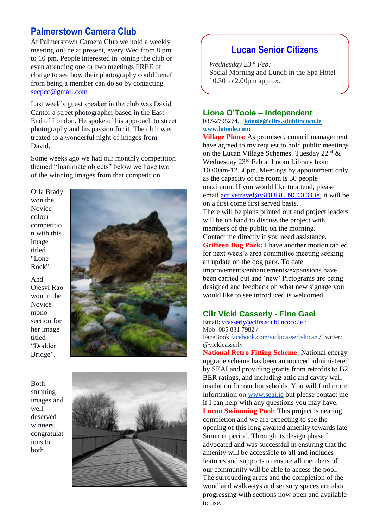## **Palmerstown Camera Club**

At Palmerstown Camera Club we hold a weekly meeting online at present, every Wed from 8 pm to 10 pm. People interested in joining the club or even attending one or two meetings FREE of charge to see how their photography could benefit from being a member can do so by contacting [secpcc@gmail.com](mailto:secpcc@gmail.com)

Last week's guest speaker in the club was David Cantor a street photographer based in the East End of London. He spoke of his approach to street photography and his passion for it. The club was treated to a wonderful night of images from David.

Some weeks ago we had our monthly competition themed "Inanimate objects" below we have two of the winning images from that competition.

Orla Brady won the Novice colour competitio n with this image titled "Lone Rock".

And Ojesvi Rao won in the Novice mono section for her image titled "Dodder Bridge".

Both stunning images and welldeserved winners, congratulat ions to both.





# **Lucan Senior Citizens**

*Wednesday 23rd Feb:* Social Morning and Lunch in the Spa Hotel 10.30 to 2.00pm approx..

#### **Liona O'Toole – Independent**

087-2795274**. [lotoole@cllrs.sdublincoco.ie](mailto:lotoole@cllrs.sdublincoco.ie) [www.lotoole.com](http://www.lotoole.com/)**

**Village Plans**: As promised, council management have agreed to my request to hold public meetings on the Lucan Village Schemes. Tuesday  $22<sup>nd</sup>$  & Wednesday 23rd Feb at Lucan Library from 10.00am-12.30pm. Meetings by appointment only as the capacity of the room is 30 people maximum. If you would like to attend, please email [activetravel@SDUBLINCOCO.ie,](mailto:activetravel@SDUBLINCOCO.ie) it will be on a first come first served basis. There will be plans printed out and project leaders will be on hand to discuss the project with members of the public on the morning. Contact me directly if you need assistance. **Griffeen Dog Park:** I have another motion tabled for next week's area committee meeting seeking an update on the dog park. To date improvements/enhancements/expansions have been carried out and 'new' Pictograms are being designed and feedback on what new signage you would like to see introduced is welcomed.

#### **Cllr Vicki Casserly - Fine Gael**

Email: [vcasserly@cllrs.sdublincoco.ie](mailto:vcasserly@cllrs.sdublincoco.ie) / Mob: 085 831 7982 / FaceBook [facebook.com/vickicasserlylucan](http://facebook.com/vickicasserlylucan) /Twitter: @vickicasserly

**National Retro Fitting Scheme**: National energy upgrade scheme has been announced administered by SEAI and providing grants from retrofits to B2 BER ratings, and including attic and cavity wall insulation for our households. You will find more information on [www.seai.ie](http://www.seai.ie/) but please contact me if I can help with any questions you may have. **Lucan Swimming Pool:** This project is nearing completion and we are expecting to see the opening of this long awaited amenity towards late Summer period. Through its design phase I advocated and was successful in ensuring that the amenity will be accessible to all and includes features and supports to ensure all members of our community will be able to access the pool. The surrounding areas and the completion of the woodland walkways and sensory spaces are also progressing with sections now open and available to use.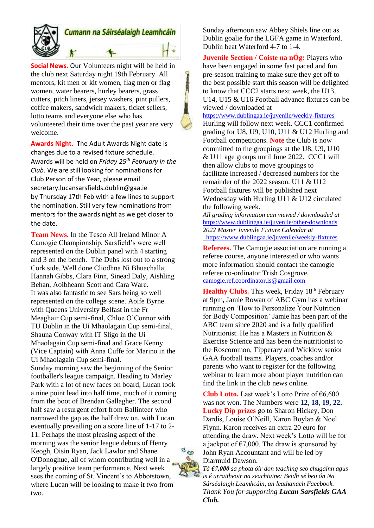

## Cumann na Sáirséalaigh Leamhcáin

**Social News.** Our Volunteers night will be held in the club next Saturday night 19th February. All mentors, kit men or kit women, flag men or flag women, water bearers, hurley bearers, grass cutters, pitch liners, jersey washers, pint pullers, coffee makers, sandwich makers, ticket sellers, lotto teams and everyone else who has volunteered their time over the past year are very welcome.

**Awards Night.** The Adult Awards Night date is changes due to a revised fixture schedule. Awards will be held on *Friday 25th February in the Club*. We are still looking for nominations for Club Person of the Year, please email secretary.lucansarsfields.dublin@gaa.ie by Thursday 17th Feb with a few lines to support the nomination. Still very few nominations from mentors for the awards night as we get closer to the date.

**Team News.** In the Tesco All Ireland Minor A Camogie Championship, Sarsfield's were well represented on the Dublin panel with 4 starting and 3 on the bench. The Dubs lost out to a strong Cork side. Well done Cliodhna Ni Bhuachalla, Hannah Gibbs, Clara Finn, Sinead Daly, Aishling Behan, Aoibheann Scott and Cara Ware. It was also fantastic to see Sars being so well represented on the college scene. Aoife Byrne with Queens University Belfast in the Fr Meaghair Cup semi-final, Chloe O'Connor with TU Dublin in the Ui Mhaolagain Cup semi-final, Shauna Conway with IT Sligo in the Ui Mhaolagain Cup semi-final and Grace Kenny (Vice Captain) with Anna Cuffe for Marino in the Ui Mhaolagain Cup semi-final. Sunday morning saw the beginning of the Senior footballer's league campaign. Heading to Marley Park with a lot of new faces on board, Lucan took a nine point lead into half time, much of it coming from the boot of Brendan Gallagher. The second half saw a resurgent effort from Ballinteer who narrowed the gap as the half drew on, with Lucan eventually prevailing on a score line of 1-17 to 2- 11. Perhaps the most pleasing aspect of the morning was the senior league debuts of Henry Keogh, Oisin Ryan, Jack Lawlor and Shane O'Donoghue, all of whom contributing well in a largely positive team performance. Next week sees the coming of St. Vincent's to Abbotstown, where Lucan will be looking to make it two from two.

Sunday afternoon saw Abbey Shiels line out as Dublin goalie for the LGFA game in Waterford. Dublin beat Waterford 4-7 to 1-4.

**Juvenile Section / Coiste na nÓg:** Players who have been engaged in some fast paced and fun pre-season training to make sure they get off to the best possible start this season will be delighted to know that CCC2 starts next week, the U13, U14, U15 & U16 Football advance fixtures can be viewed / downloaded at

<https://www.dublingaa.ie/juvenile/weekly-fixtures> Hurling will follow next week. CCC1 confirmed grading for U8, U9, U10, U11 & U12 Hurling and Football competitions. **Note** the Club is now committed to the groupings at the U8, U9, U10 & U11 age groups until June 2022. CCC1 will then allow clubs to move groupings to facilitate increased / decreased numbers for the remainder of the 2022 season. U11 & U12 Football fixtures will be published next Wednesday with Hurling U11 & U12 circulated the following week.

*All grading information can viewed / downloaded at* <https://www.dublingaa.ie/juvenile/other-downloads> *2022 Master Juvenile Fixture Calendar at*  <https://www.dublingaa.ie/juvenile/weekly-fixtures>

**Referees.** The Camogie association are running a referee course, anyone interested or who wants more information should contact the camogie referee co-ordinator Trish Cosgrove, [camogie.ref.coordinator.ls@gmail.com](mailto:camogie.ref.coordinator.ls@gmail.com)

**Healthy Clubs.** This week, Friday 18<sup>th</sup> February at 9pm, Jamie Rowan of ABC Gym has a webinar running on 'How to Personalize Your Nutrition for Body Composition' Jamie has been part of the ABC team since 2020 and is a fully qualified Nutritionist. He has a Masters in Nutrition & Exercise Science and has been the nutritionist to the Roscommon, Tipperary and Wicklow senior GAA football teams. Players, coaches and/or parents who want to register for the following webinar to learn more about player nutrition can find the link in the club news online.

**Club Lotto.** Last week's Lotto Prize of €6,600 was not won. The Numbers were **12, 18, 19, 22. Lucky Dip prizes** go to Sharon Hickey, Don Dardis, Louise O'Neill, Karon Boylan & Noel Flynn. Karon receives an extra 20 euro for attending the draw. Next week's Lotto will be for a jackpot of  $\epsilon$ 7,000. The draw is sponsored by John Ryan Accountant and will be led by Diarmuid Dawson.

*Tá €7,000 sa phota óir don teaching seo chugainn agus is é urraitheoir na seachtaine: Beidh sé beo ón Na Sárséalaigh Leamhcáin, an leathanach Facebook. Thank You for supporting Lucan Sarsfields GAA Club.*.

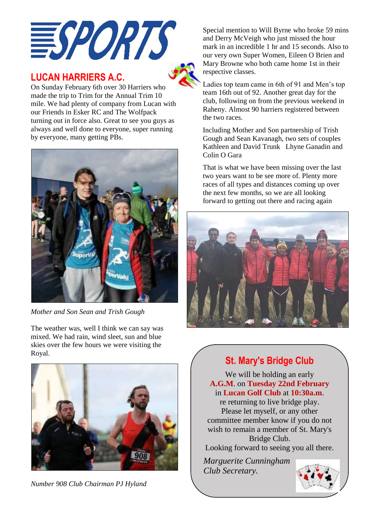

# **LUCAN HARRIERS A.C.**

On Sunday February 6th over 30 Harriers who made the trip to Trim for the Annual Trim 10 mile. We had plenty of company from Lucan with our Friends in Esker RC and The Wolfpack turning out in force also. Great to see you guys as always and well done to everyone, super running by everyone, many getting PBs.



*Mother and Son Sean and Trish Gough*

The weather was, well I think we can say was mixed. We had rain, wind sleet, sun and blue skies over the few hours we were visiting the Royal.



*Number 908 Club Chairman PJ Hyland*

Special mention to Will Byrne who broke 59 mins and Derry McVeigh who just missed the hour mark in an incredible 1 hr and 15 seconds. Also to our very own Super Women, Eileen O Brien and Mary Browne who both came home 1st in their respective classes.

Ladies top team came in 6th of 91 and Men's top team 16th out of 92. Another great day for the club, following on from the previous weekend in Raheny. Almost 90 harriers registered between the two races.

Including Mother and Son partnership of Trish Gough and Sean Kavanagh, two sets of couples Kathleen and David Trunk Lhyne Ganadin and Colin O Gara

That is what we have been missing over the last two years want to be see more of. Plenty more races of all types and distances coming up over the next few months, so we are all looking forward to getting out there and racing again



# **St. Mary's Bridge Club**

We will be holding an early **A.G.M**. on **Tuesday 22nd February** in **Lucan Golf Club** at **10:30a.m**.

re returning to live bridge play. Please let myself, or any other committee member know if you do not wish to remain a member of St. Mary's Bridge Club.

Looking forward to seeing you all there.

*Marguerite Cunningham Club Secretary.*